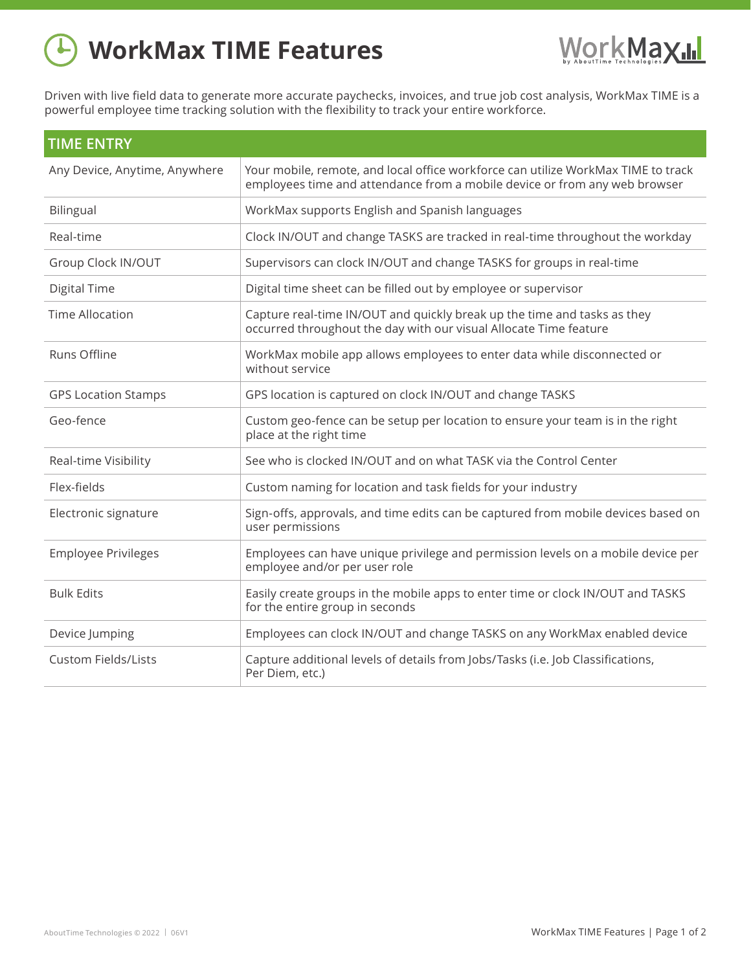## **WorkMax TIME Features**



Driven with live field data to generate more accurate paychecks, invoices, and true job cost analysis, WorkMax TIME is a powerful employee time tracking solution with the flexibility to track your entire workforce.

| <b>TIME ENTRY</b>             |                                                                                                                                                                 |  |
|-------------------------------|-----------------------------------------------------------------------------------------------------------------------------------------------------------------|--|
| Any Device, Anytime, Anywhere | Your mobile, remote, and local office workforce can utilize WorkMax TIME to track<br>employees time and attendance from a mobile device or from any web browser |  |
| Bilingual                     | WorkMax supports English and Spanish languages                                                                                                                  |  |
| Real-time                     | Clock IN/OUT and change TASKS are tracked in real-time throughout the workday                                                                                   |  |
| Group Clock IN/OUT            | Supervisors can clock IN/OUT and change TASKS for groups in real-time                                                                                           |  |
| Digital Time                  | Digital time sheet can be filled out by employee or supervisor                                                                                                  |  |
| <b>Time Allocation</b>        | Capture real-time IN/OUT and quickly break up the time and tasks as they<br>occurred throughout the day with our visual Allocate Time feature                   |  |
| Runs Offline                  | WorkMax mobile app allows employees to enter data while disconnected or<br>without service                                                                      |  |
| <b>GPS Location Stamps</b>    | GPS location is captured on clock IN/OUT and change TASKS                                                                                                       |  |
| Geo-fence                     | Custom geo-fence can be setup per location to ensure your team is in the right<br>place at the right time                                                       |  |
| Real-time Visibility          | See who is clocked IN/OUT and on what TASK via the Control Center                                                                                               |  |
| Flex-fields                   | Custom naming for location and task fields for your industry                                                                                                    |  |
| Electronic signature          | Sign-offs, approvals, and time edits can be captured from mobile devices based on<br>user permissions                                                           |  |
| <b>Employee Privileges</b>    | Employees can have unique privilege and permission levels on a mobile device per<br>employee and/or per user role                                               |  |
| <b>Bulk Edits</b>             | Easily create groups in the mobile apps to enter time or clock IN/OUT and TASKS<br>for the entire group in seconds                                              |  |
| Device Jumping                | Employees can clock IN/OUT and change TASKS on any WorkMax enabled device                                                                                       |  |
| <b>Custom Fields/Lists</b>    | Capture additional levels of details from Jobs/Tasks (i.e. Job Classifications,<br>Per Diem, etc.)                                                              |  |